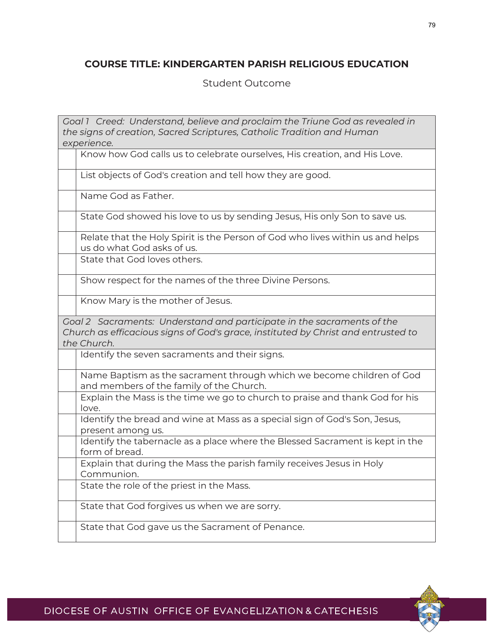## **COURSE TITLE: KINDERGARTEN PARISH RELIGIOUS EDUCATION**

## Student Outcome

| Goal 1 Creed: Understand, believe and proclaim the Triune God as revealed in                                                                                               |                                                                                                                   |  |
|----------------------------------------------------------------------------------------------------------------------------------------------------------------------------|-------------------------------------------------------------------------------------------------------------------|--|
| the signs of creation, Sacred Scriptures, Catholic Tradition and Human                                                                                                     |                                                                                                                   |  |
| experience.                                                                                                                                                                |                                                                                                                   |  |
|                                                                                                                                                                            | Know how God calls us to celebrate ourselves, His creation, and His Love.                                         |  |
|                                                                                                                                                                            | List objects of God's creation and tell how they are good.                                                        |  |
|                                                                                                                                                                            | Name God as Father.                                                                                               |  |
|                                                                                                                                                                            | State God showed his love to us by sending Jesus, His only Son to save us.                                        |  |
|                                                                                                                                                                            | Relate that the Holy Spirit is the Person of God who lives within us and helps<br>us do what God asks of us.      |  |
|                                                                                                                                                                            | State that God loves others.                                                                                      |  |
|                                                                                                                                                                            | Show respect for the names of the three Divine Persons.                                                           |  |
|                                                                                                                                                                            | Know Mary is the mother of Jesus.                                                                                 |  |
| Goal 2 Sacraments: Understand and participate in the sacraments of the<br>Church as efficacious signs of God's grace, instituted by Christ and entrusted to<br>the Church. |                                                                                                                   |  |
|                                                                                                                                                                            | Identify the seven sacraments and their signs.                                                                    |  |
|                                                                                                                                                                            | Name Baptism as the sacrament through which we become children of God<br>and members of the family of the Church. |  |
|                                                                                                                                                                            | Explain the Mass is the time we go to church to praise and thank God for his<br>love.                             |  |
|                                                                                                                                                                            | Identify the bread and wine at Mass as a special sign of God's Son, Jesus,<br>present among us.                   |  |
|                                                                                                                                                                            | Identify the tabernacle as a place where the Blessed Sacrament is kept in the<br>form of bread.                   |  |
|                                                                                                                                                                            | Explain that during the Mass the parish family receives Jesus in Holy<br>Communion.                               |  |
|                                                                                                                                                                            | State the role of the priest in the Mass.                                                                         |  |
|                                                                                                                                                                            | State that God forgives us when we are sorry.                                                                     |  |
|                                                                                                                                                                            | State that God gave us the Sacrament of Penance.                                                                  |  |

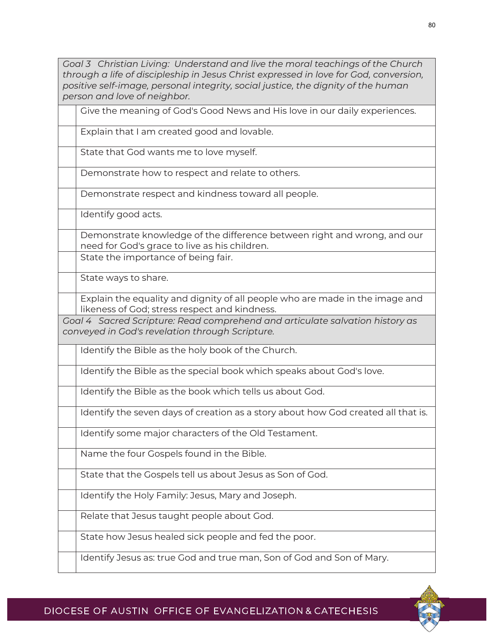*Goal 3 Christian Living: Understand and live the moral teachings of the Church through a life of discipleship in Jesus Christ expressed in love for God, conversion, positive self-image, personal integrity, social justice, the dignity of the human person and love of neighbor.*

Give the meaning of God's Good News and His love in our daily experiences.

Explain that I am created good and lovable.

State that God wants me to love myself.

Demonstrate how to respect and relate to others.

Demonstrate respect and kindness toward all people.

Identify good acts.

Demonstrate knowledge of the difference between right and wrong, and our need for God's grace to live as his children.

State the importance of being fair.

State ways to share.

Explain the equality and dignity of all people who are made in the image and likeness of God; stress respect and kindness.

*Goal 4 Sacred Scripture: Read comprehend and articulate salvation history as conveyed in God's revelation through Scripture.*

Identify the Bible as the holy book of the Church.

Identify the Bible as the special book which speaks about God's love.

Identify the Bible as the book which tells us about God.

Identify the seven days of creation as a story about how God created all that is.

Identify some major characters of the Old Testament.

Name the four Gospels found in the Bible.

State that the Gospels tell us about Jesus as Son of God.

Identify the Holy Family: Jesus, Mary and Joseph.

Relate that Jesus taught people about God.

State how Jesus healed sick people and fed the poor.

Identify Jesus as: true God and true man, Son of God and Son of Mary.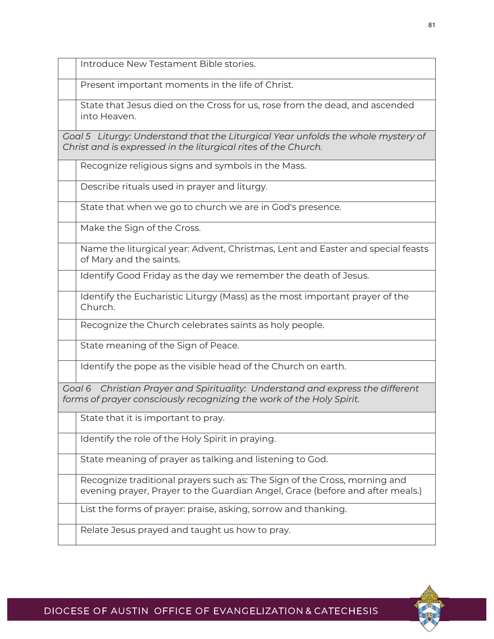| I Introduce New Testament Bible stories. |
|------------------------------------------|
|                                          |

Present important moments in the life of Christ.

State that Jesus died on the Cross for us, rose from the dead, and ascended into Heaven.

*Goal 5 Liturgy: Understand that the Liturgical Year unfolds the whole mystery of Christ and is expressed in the liturgical rites of the Church.*

Recognize religious signs and symbols in the Mass.

Describe rituals used in prayer and liturgy.

State that when we go to church we are in God's presence.

Make the Sign of the Cross.

Name the liturgical year: Advent, Christmas, Lent and Easter and special feasts of Mary and the saints.

Identify Good Friday as the day we remember the death of Jesus.

Identify the Eucharistic Liturgy (Mass) as the most important prayer of the Church.

Recognize the Church celebrates saints as holy people.

State meaning of the Sign of Peace.

Identify the pope as the visible head of the Church on earth.

*Goal 6 Christian Prayer and Spirituality: Understand and express the different forms of prayer consciously recognizing the work of the Holy Spirit.* 

State that it is important to pray.

Identify the role of the Holy Spirit in praying.

State meaning of prayer as talking and listening to God.

Recognize traditional prayers such as: The Sign of the Cross, morning and evening prayer, Prayer to the Guardian Angel, Grace (before and after meals.)

List the forms of prayer: praise, asking, sorrow and thanking.

Relate Jesus prayed and taught us how to pray.